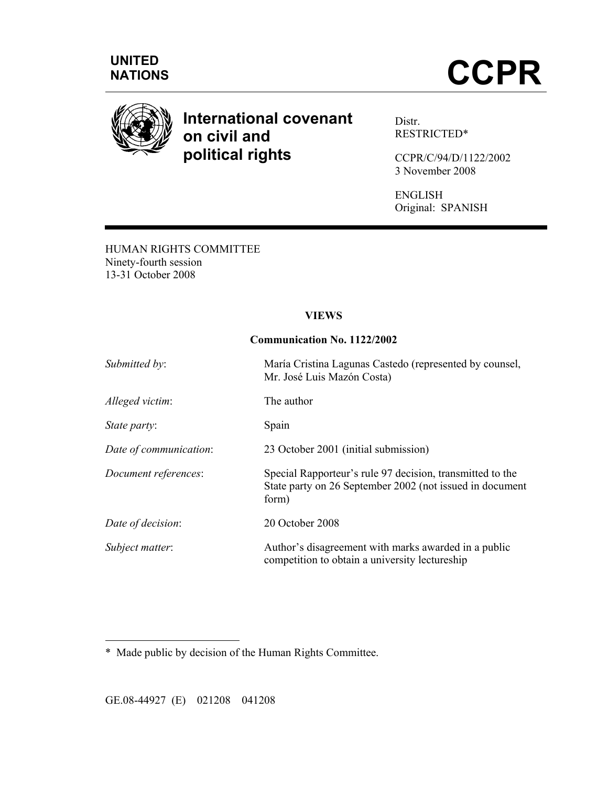



# **International covenant on civil and political rights**

Distr. RESTRICTED\*

CCPR/C/94/D/1122/2002 3 November 2008

ENGLISH Original: SPANISH

HUMAN RIGHTS COMMITTEE Ninety-fourth session 13-31 October 2008

#### **VIEWS**

#### **Communication No. 1122/2002**

| Submitted by:          | María Cristina Lagunas Castedo (represented by counsel,<br>Mr. José Luis Mazón Costa)                                          |
|------------------------|--------------------------------------------------------------------------------------------------------------------------------|
| Alleged victim:        | The author                                                                                                                     |
| State party:           | Spain                                                                                                                          |
| Date of communication: | 23 October 2001 (initial submission)                                                                                           |
| Document references:   | Special Rapporteur's rule 97 decision, transmitted to the<br>State party on 26 September 2002 (not issued in document<br>form) |
| Date of decision:      | 20 October 2008                                                                                                                |
| Subject matter:        | Author's disagreement with marks awarded in a public<br>competition to obtain a university lectureship                         |

\* Made public by decision of the Human Rights Committee.

GE.08-44927 (E) 021208 041208

 $\overline{a}$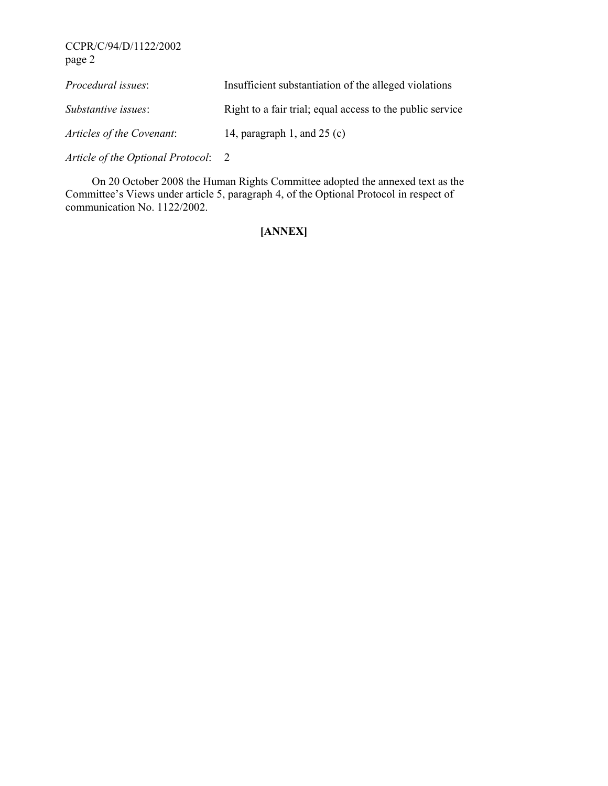| Procedural issues:        | Insufficient substantiation of the alleged violations     |
|---------------------------|-----------------------------------------------------------|
| Substantive issues:       | Right to a fair trial, equal access to the public service |
| Articles of the Covenant: | 14, paragraph 1, and $25$ (c)                             |
|                           |                                                           |

*Article of the Optional Protocol*: 2

 On 20 October 2008 the Human Rights Committee adopted the annexed text as the Committee's Views under article 5, paragraph 4, of the Optional Protocol in respect of communication No. 1122/2002.

## **[ANNEX]**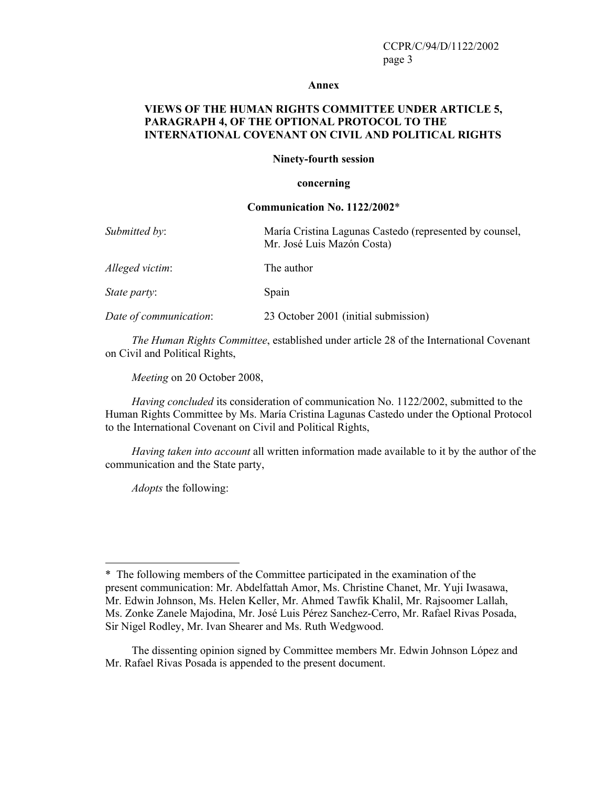#### **Annex**

#### **VIEWS OF THE HUMAN RIGHTS COMMITTEE UNDER ARTICLE 5, PARAGRAPH 4, OF THE OPTIONAL PROTOCOL TO THE INTERNATIONAL COVENANT ON CIVIL AND POLITICAL RIGHTS**

#### **Ninety-fourth session**

#### **concerning**

#### **Communication No. 1122/2002**\*

| Submitted by:          | María Cristina Lagunas Castedo (represented by counsel,<br>Mr. José Luis Mazón Costa) |
|------------------------|---------------------------------------------------------------------------------------|
| Alleged victim:        | The author                                                                            |
| <i>State party:</i>    | Spain                                                                                 |
| Date of communication: | 23 October 2001 (initial submission)                                                  |

*The Human Rights Committee*, established under article 28 of the International Covenant on Civil and Political Rights,

*Meeting* on 20 October 2008,

*Having concluded* its consideration of communication No. 1122/2002, submitted to the Human Rights Committee by Ms. María Cristina Lagunas Castedo under the Optional Protocol to the International Covenant on Civil and Political Rights,

*Having taken into account* all written information made available to it by the author of the communication and the State party,

*Adopts* the following:

 $\overline{a}$ 

<sup>\*</sup> The following members of the Committee participated in the examination of the present communication: Mr. Abdelfattah Amor, Ms. Christine Chanet, Mr. Yuji Iwasawa, Mr. Edwin Johnson, Ms. Helen Keller, Mr. Ahmed Tawfik Khalil, Mr. Rajsoomer Lallah, Ms. Zonke Zanele Majodina, Mr. José Luis Pérez Sanchez-Cerro, Mr. Rafael Rivas Posada, Sir Nigel Rodley, Mr. Ivan Shearer and Ms. Ruth Wedgwood.

The dissenting opinion signed by Committee members Mr. Edwin Johnson López and Mr. Rafael Rivas Posada is appended to the present document.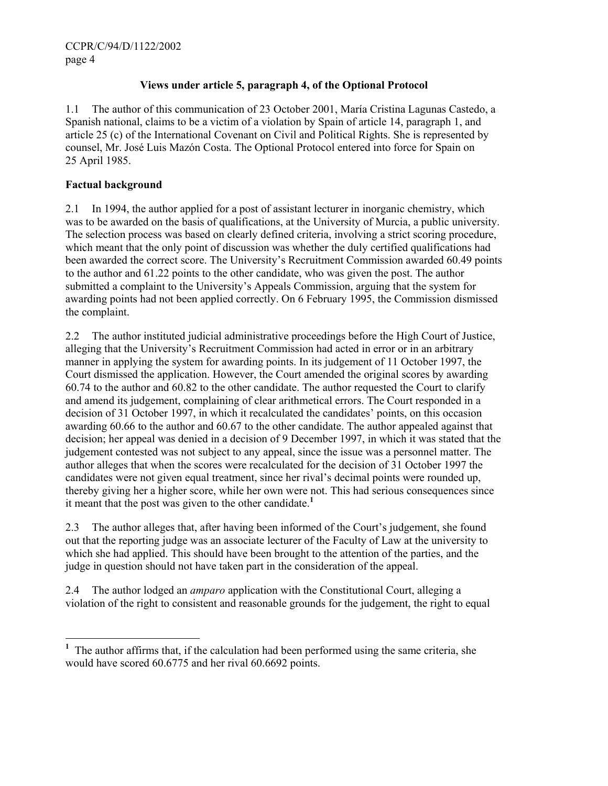## **Views under article 5, paragraph 4, of the Optional Protocol**

1.1 The author of this communication of 23 October 2001, María Cristina Lagunas Castedo, a Spanish national, claims to be a victim of a violation by Spain of article 14, paragraph 1, and article 25 (c) of the International Covenant on Civil and Political Rights. She is represented by counsel, Mr. José Luis Mazón Costa. The Optional Protocol entered into force for Spain on 25 April 1985.

#### **Factual background**

 $\overline{a}$ 

2.1 In 1994, the author applied for a post of assistant lecturer in inorganic chemistry, which was to be awarded on the basis of qualifications, at the University of Murcia, a public university. The selection process was based on clearly defined criteria, involving a strict scoring procedure, which meant that the only point of discussion was whether the duly certified qualifications had been awarded the correct score. The University's Recruitment Commission awarded 60.49 points to the author and 61.22 points to the other candidate, who was given the post. The author submitted a complaint to the University's Appeals Commission, arguing that the system for awarding points had not been applied correctly. On 6 February 1995, the Commission dismissed the complaint.

2.2 The author instituted judicial administrative proceedings before the High Court of Justice, alleging that the University's Recruitment Commission had acted in error or in an arbitrary manner in applying the system for awarding points. In its judgement of 11 October 1997, the Court dismissed the application. However, the Court amended the original scores by awarding 60.74 to the author and 60.82 to the other candidate. The author requested the Court to clarify and amend its judgement, complaining of clear arithmetical errors. The Court responded in a decision of 31 October 1997, in which it recalculated the candidates' points, on this occasion awarding 60.66 to the author and 60.67 to the other candidate. The author appealed against that decision; her appeal was denied in a decision of 9 December 1997, in which it was stated that the judgement contested was not subject to any appeal, since the issue was a personnel matter. The author alleges that when the scores were recalculated for the decision of 31 October 1997 the candidates were not given equal treatment, since her rival's decimal points were rounded up, thereby giving her a higher score, while her own were not. This had serious consequences since it meant that the post was given to the other candidate.**<sup>1</sup>**

2.3 The author alleges that, after having been informed of the Court's judgement, she found out that the reporting judge was an associate lecturer of the Faculty of Law at the university to which she had applied. This should have been brought to the attention of the parties, and the judge in question should not have taken part in the consideration of the appeal.

2.4 The author lodged an *amparo* application with the Constitutional Court, alleging a violation of the right to consistent and reasonable grounds for the judgement, the right to equal

<sup>&</sup>lt;sup>1</sup> The author affirms that, if the calculation had been performed using the same criteria, she would have scored 60.6775 and her rival 60.6692 points.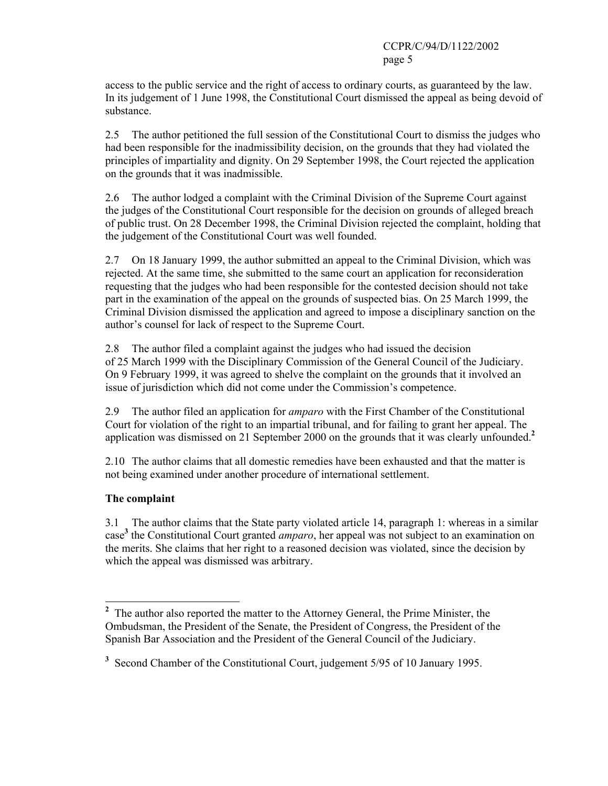access to the public service and the right of access to ordinary courts, as guaranteed by the law. In its judgement of 1 June 1998, the Constitutional Court dismissed the appeal as being devoid of substance.

2.5 The author petitioned the full session of the Constitutional Court to dismiss the judges who had been responsible for the inadmissibility decision, on the grounds that they had violated the principles of impartiality and dignity. On 29 September 1998, the Court rejected the application on the grounds that it was inadmissible.

2.6 The author lodged a complaint with the Criminal Division of the Supreme Court against the judges of the Constitutional Court responsible for the decision on grounds of alleged breach of public trust. On 28 December 1998, the Criminal Division rejected the complaint, holding that the judgement of the Constitutional Court was well founded.

2.7 On 18 January 1999, the author submitted an appeal to the Criminal Division, which was rejected. At the same time, she submitted to the same court an application for reconsideration requesting that the judges who had been responsible for the contested decision should not take part in the examination of the appeal on the grounds of suspected bias. On 25 March 1999, the Criminal Division dismissed the application and agreed to impose a disciplinary sanction on the author's counsel for lack of respect to the Supreme Court.

2.8 The author filed a complaint against the judges who had issued the decision of 25 March 1999 with the Disciplinary Commission of the General Council of the Judiciary. On 9 February 1999, it was agreed to shelve the complaint on the grounds that it involved an issue of jurisdiction which did not come under the Commission's competence.

2.9 The author filed an application for *amparo* with the First Chamber of the Constitutional Court for violation of the right to an impartial tribunal, and for failing to grant her appeal. The application was dismissed on 21 September 2000 on the grounds that it was clearly unfounded.**<sup>2</sup>**

2.10 The author claims that all domestic remedies have been exhausted and that the matter is not being examined under another procedure of international settlement.

## **The complaint**

3.1 The author claims that the State party violated article 14, paragraph 1: whereas in a similar case**<sup>3</sup>** the Constitutional Court granted *amparo*, her appeal was not subject to an examination on the merits. She claims that her right to a reasoned decision was violated, since the decision by which the appeal was dismissed was arbitrary.

<sup>&</sup>lt;sup>2</sup> The author also reported the matter to the Attorney General, the Prime Minister, the Ombudsman, the President of the Senate, the President of Congress, the President of the Spanish Bar Association and the President of the General Council of the Judiciary.

<sup>&</sup>lt;sup>3</sup> Second Chamber of the Constitutional Court, judgement 5/95 of 10 January 1995.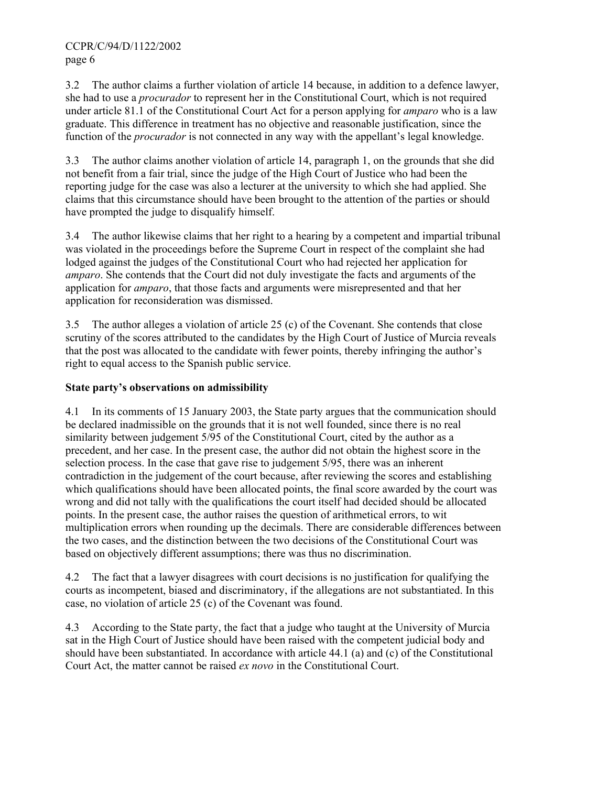3.2 The author claims a further violation of article 14 because, in addition to a defence lawyer, she had to use a *procurador* to represent her in the Constitutional Court, which is not required under article 81.1 of the Constitutional Court Act for a person applying for *amparo* who is a law graduate. This difference in treatment has no objective and reasonable justification, since the function of the *procurador* is not connected in any way with the appellant's legal knowledge.

3.3 The author claims another violation of article 14, paragraph 1, on the grounds that she did not benefit from a fair trial, since the judge of the High Court of Justice who had been the reporting judge for the case was also a lecturer at the university to which she had applied. She claims that this circumstance should have been brought to the attention of the parties or should have prompted the judge to disqualify himself.

3.4 The author likewise claims that her right to a hearing by a competent and impartial tribunal was violated in the proceedings before the Supreme Court in respect of the complaint she had lodged against the judges of the Constitutional Court who had rejected her application for *amparo*. She contends that the Court did not duly investigate the facts and arguments of the application for *amparo*, that those facts and arguments were misrepresented and that her application for reconsideration was dismissed.

3.5 The author alleges a violation of article 25 (c) of the Covenant. She contends that close scrutiny of the scores attributed to the candidates by the High Court of Justice of Murcia reveals that the post was allocated to the candidate with fewer points, thereby infringing the author's right to equal access to the Spanish public service.

## **State party's observations on admissibility**

In its comments of 15 January 2003, the State party argues that the communication should be declared inadmissible on the grounds that it is not well founded, since there is no real similarity between judgement 5/95 of the Constitutional Court, cited by the author as a precedent, and her case. In the present case, the author did not obtain the highest score in the selection process. In the case that gave rise to judgement 5/95, there was an inherent contradiction in the judgement of the court because, after reviewing the scores and establishing which qualifications should have been allocated points, the final score awarded by the court was wrong and did not tally with the qualifications the court itself had decided should be allocated points. In the present case, the author raises the question of arithmetical errors, to wit multiplication errors when rounding up the decimals. There are considerable differences between the two cases, and the distinction between the two decisions of the Constitutional Court was based on objectively different assumptions; there was thus no discrimination.

4.2 The fact that a lawyer disagrees with court decisions is no justification for qualifying the courts as incompetent, biased and discriminatory, if the allegations are not substantiated. In this case, no violation of article 25 (c) of the Covenant was found.

4.3 According to the State party, the fact that a judge who taught at the University of Murcia sat in the High Court of Justice should have been raised with the competent judicial body and should have been substantiated. In accordance with article 44.1 (a) and (c) of the Constitutional Court Act, the matter cannot be raised *ex novo* in the Constitutional Court.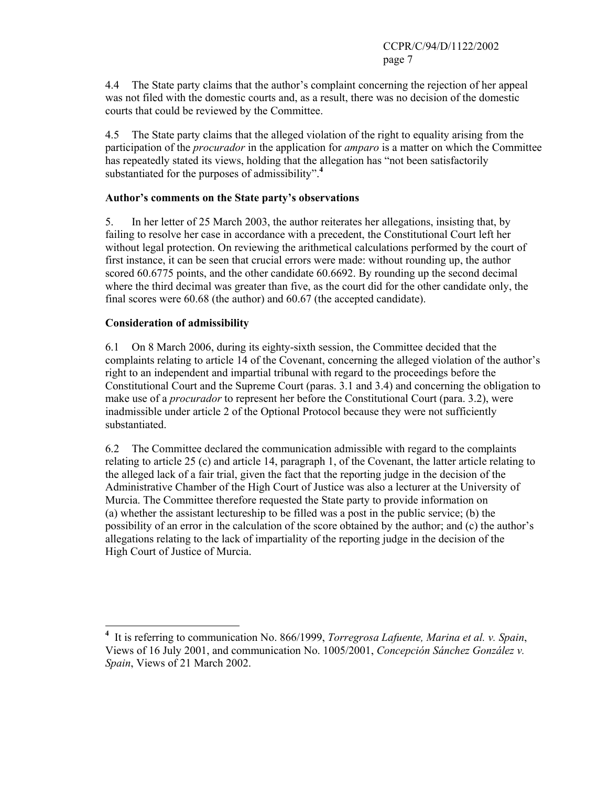4.4 The State party claims that the author's complaint concerning the rejection of her appeal was not filed with the domestic courts and, as a result, there was no decision of the domestic courts that could be reviewed by the Committee.

4.5 The State party claims that the alleged violation of the right to equality arising from the participation of the *procurador* in the application for *amparo* is a matter on which the Committee has repeatedly stated its views, holding that the allegation has "not been satisfactorily substantiated for the purposes of admissibility".**<sup>4</sup>**

#### **Author's comments on the State party's observations**

5. In her letter of 25 March 2003, the author reiterates her allegations, insisting that, by failing to resolve her case in accordance with a precedent, the Constitutional Court left her without legal protection. On reviewing the arithmetical calculations performed by the court of first instance, it can be seen that crucial errors were made: without rounding up, the author scored 60.6775 points, and the other candidate 60.6692. By rounding up the second decimal where the third decimal was greater than five, as the court did for the other candidate only, the final scores were 60.68 (the author) and 60.67 (the accepted candidate).

#### **Consideration of admissibility**

6.1 On 8 March 2006, during its eighty-sixth session, the Committee decided that the complaints relating to article 14 of the Covenant, concerning the alleged violation of the author's right to an independent and impartial tribunal with regard to the proceedings before the Constitutional Court and the Supreme Court (paras. 3.1 and 3.4) and concerning the obligation to make use of a *procurador* to represent her before the Constitutional Court (para. 3.2), were inadmissible under article 2 of the Optional Protocol because they were not sufficiently substantiated.

6.2 The Committee declared the communication admissible with regard to the complaints relating to article 25 (c) and article 14, paragraph 1, of the Covenant, the latter article relating to the alleged lack of a fair trial, given the fact that the reporting judge in the decision of the Administrative Chamber of the High Court of Justice was also a lecturer at the University of Murcia. The Committee therefore requested the State party to provide information on (a) whether the assistant lectureship to be filled was a post in the public service; (b) the possibility of an error in the calculation of the score obtained by the author; and (c) the author's allegations relating to the lack of impartiality of the reporting judge in the decision of the High Court of Justice of Murcia.

 **4** It is referring to communication No. 866/1999, *Torregrosa Lafuente, Marina et al. v. Spain*, Views of 16 July 2001, and communication No. 1005/2001, *Concepción Sánchez González v. Spain*, Views of 21 March 2002.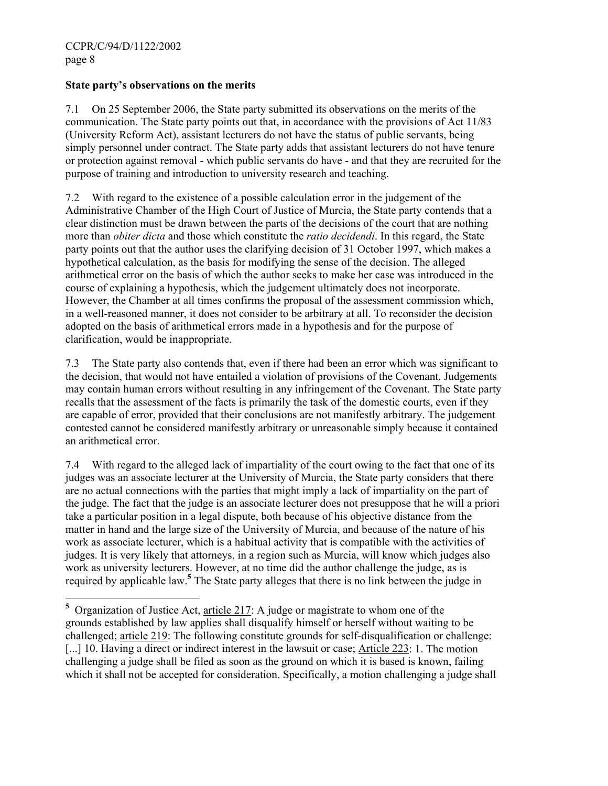#### **State party's observations on the merits**

7.1 On 25 September 2006, the State party submitted its observations on the merits of the communication. The State party points out that, in accordance with the provisions of Act 11/83 (University Reform Act), assistant lecturers do not have the status of public servants, being simply personnel under contract. The State party adds that assistant lecturers do not have tenure or protection against removal - which public servants do have - and that they are recruited for the purpose of training and introduction to university research and teaching.

7.2 With regard to the existence of a possible calculation error in the judgement of the Administrative Chamber of the High Court of Justice of Murcia, the State party contends that a clear distinction must be drawn between the parts of the decisions of the court that are nothing more than *obiter dicta* and those which constitute the *ratio decidendi*. In this regard, the State party points out that the author uses the clarifying decision of 31 October 1997, which makes a hypothetical calculation, as the basis for modifying the sense of the decision. The alleged arithmetical error on the basis of which the author seeks to make her case was introduced in the course of explaining a hypothesis, which the judgement ultimately does not incorporate. However, the Chamber at all times confirms the proposal of the assessment commission which, in a well-reasoned manner, it does not consider to be arbitrary at all. To reconsider the decision adopted on the basis of arithmetical errors made in a hypothesis and for the purpose of clarification, would be inappropriate.

7.3 The State party also contends that, even if there had been an error which was significant to the decision, that would not have entailed a violation of provisions of the Covenant. Judgements may contain human errors without resulting in any infringement of the Covenant. The State party recalls that the assessment of the facts is primarily the task of the domestic courts, even if they are capable of error, provided that their conclusions are not manifestly arbitrary. The judgement contested cannot be considered manifestly arbitrary or unreasonable simply because it contained an arithmetical error.

7.4 With regard to the alleged lack of impartiality of the court owing to the fact that one of its judges was an associate lecturer at the University of Murcia, the State party considers that there are no actual connections with the parties that might imply a lack of impartiality on the part of the judge. The fact that the judge is an associate lecturer does not presuppose that he will a priori take a particular position in a legal dispute, both because of his objective distance from the matter in hand and the large size of the University of Murcia, and because of the nature of his work as associate lecturer, which is a habitual activity that is compatible with the activities of judges. It is very likely that attorneys, in a region such as Murcia, will know which judges also work as university lecturers. However, at no time did the author challenge the judge, as is required by applicable law.**<sup>5</sup>** The State party alleges that there is no link between the judge in

<sup>&</sup>lt;sup>5</sup> Organization of Justice Act, <u>article 217</u>: A judge or magistrate to whom one of the grounds established by law applies shall disqualify himself or herself without waiting to be challenged; article 219: The following constitute grounds for self-disqualification or challenge: [...] 10. Having a direct or indirect interest in the lawsuit or case; Article 223: 1. The motion challenging a judge shall be filed as soon as the ground on which it is based is known, failing which it shall not be accepted for consideration. Specifically, a motion challenging a judge shall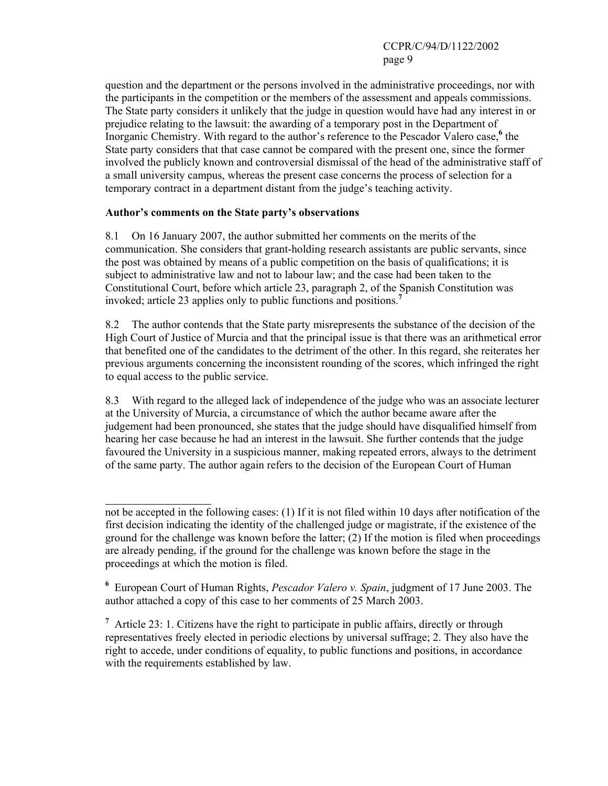question and the department or the persons involved in the administrative proceedings, nor with the participants in the competition or the members of the assessment and appeals commissions. The State party considers it unlikely that the judge in question would have had any interest in or prejudice relating to the lawsuit: the awarding of a temporary post in the Department of Inorganic Chemistry. With regard to the author's reference to the Pescador Valero case,<sup>6</sup> the State party considers that that case cannot be compared with the present one, since the former involved the publicly known and controversial dismissal of the head of the administrative staff of a small university campus, whereas the present case concerns the process of selection for a temporary contract in a department distant from the judge's teaching activity.

## **Author's comments on the State party's observations**

 $\overline{a}$ 

8.1 On 16 January 2007, the author submitted her comments on the merits of the communication. She considers that grant-holding research assistants are public servants, since the post was obtained by means of a public competition on the basis of qualifications; it is subject to administrative law and not to labour law; and the case had been taken to the Constitutional Court, before which article 23, paragraph 2, of the Spanish Constitution was invoked; article 23 applies only to public functions and positions.**<sup>7</sup>**

8.2 The author contends that the State party misrepresents the substance of the decision of the High Court of Justice of Murcia and that the principal issue is that there was an arithmetical error that benefited one of the candidates to the detriment of the other. In this regard, she reiterates her previous arguments concerning the inconsistent rounding of the scores, which infringed the right to equal access to the public service.

8.3 With regard to the alleged lack of independence of the judge who was an associate lecturer at the University of Murcia, a circumstance of which the author became aware after the judgement had been pronounced, she states that the judge should have disqualified himself from hearing her case because he had an interest in the lawsuit. She further contends that the judge favoured the University in a suspicious manner, making repeated errors, always to the detriment of the same party. The author again refers to the decision of the European Court of Human

**6** European Court of Human Rights, *Pescador Valero v. Spain*, judgment of 17 June 2003. The author attached a copy of this case to her comments of 25 March 2003.

<sup>7</sup> Article 23: 1. Citizens have the right to participate in public affairs, directly or through representatives freely elected in periodic elections by universal suffrage; 2. They also have the right to accede, under conditions of equality, to public functions and positions, in accordance with the requirements established by law.

not be accepted in the following cases: (1) If it is not filed within 10 days after notification of the first decision indicating the identity of the challenged judge or magistrate, if the existence of the ground for the challenge was known before the latter; (2) If the motion is filed when proceedings are already pending, if the ground for the challenge was known before the stage in the proceedings at which the motion is filed.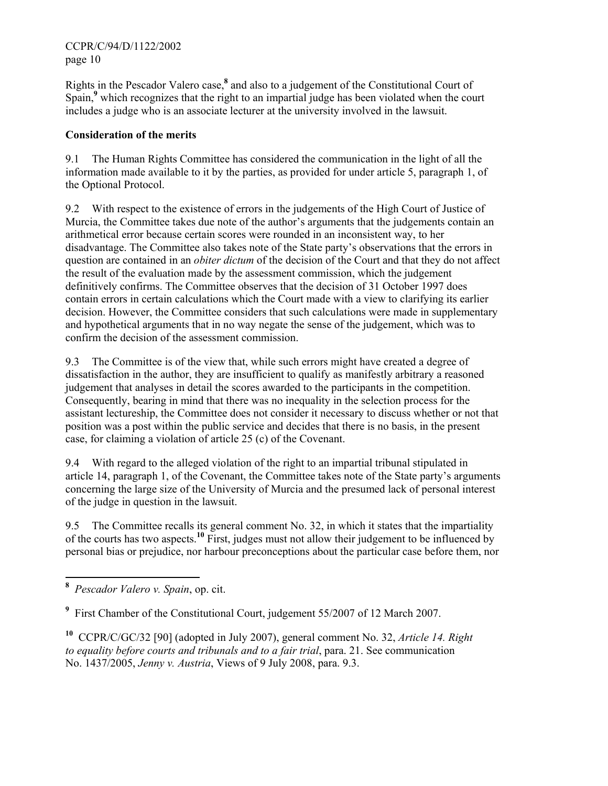Rights in the Pescador Valero case,**<sup>8</sup>** and also to a judgement of the Constitutional Court of Spain,<sup>9</sup> which recognizes that the right to an impartial judge has been violated when the court includes a judge who is an associate lecturer at the university involved in the lawsuit.

## **Consideration of the merits**

9.1 The Human Rights Committee has considered the communication in the light of all the information made available to it by the parties, as provided for under article 5, paragraph 1, of the Optional Protocol.

9.2 With respect to the existence of errors in the judgements of the High Court of Justice of Murcia, the Committee takes due note of the author's arguments that the judgements contain an arithmetical error because certain scores were rounded in an inconsistent way, to her disadvantage. The Committee also takes note of the State party's observations that the errors in question are contained in an *obiter dictum* of the decision of the Court and that they do not affect the result of the evaluation made by the assessment commission, which the judgement definitively confirms. The Committee observes that the decision of 31 October 1997 does contain errors in certain calculations which the Court made with a view to clarifying its earlier decision. However, the Committee considers that such calculations were made in supplementary and hypothetical arguments that in no way negate the sense of the judgement, which was to confirm the decision of the assessment commission.

9.3 The Committee is of the view that, while such errors might have created a degree of dissatisfaction in the author, they are insufficient to qualify as manifestly arbitrary a reasoned judgement that analyses in detail the scores awarded to the participants in the competition. Consequently, bearing in mind that there was no inequality in the selection process for the assistant lectureship, the Committee does not consider it necessary to discuss whether or not that position was a post within the public service and decides that there is no basis, in the present case, for claiming a violation of article 25 (c) of the Covenant.

9.4 With regard to the alleged violation of the right to an impartial tribunal stipulated in article 14, paragraph 1, of the Covenant, the Committee takes note of the State party's arguments concerning the large size of the University of Murcia and the presumed lack of personal interest of the judge in question in the lawsuit.

9.5 The Committee recalls its general comment No. 32, in which it states that the impartiality of the courts has two aspects.**<sup>10</sup>** First, judges must not allow their judgement to be influenced by personal bias or prejudice, nor harbour preconceptions about the particular case before them, nor

 **8** *Pescador Valero v. Spain*, op. cit.

<sup>&</sup>lt;sup>9</sup> First Chamber of the Constitutional Court, judgement 55/2007 of 12 March 2007.

**<sup>10</sup>** CCPR/C/GC/32 [90] (adopted in July 2007), general comment No. 32, *Article 14. Right to equality before courts and tribunals and to a fair trial*, para. 21. See communication No. 1437/2005, *Jenny v. Austria*, Views of 9 July 2008, para. 9.3.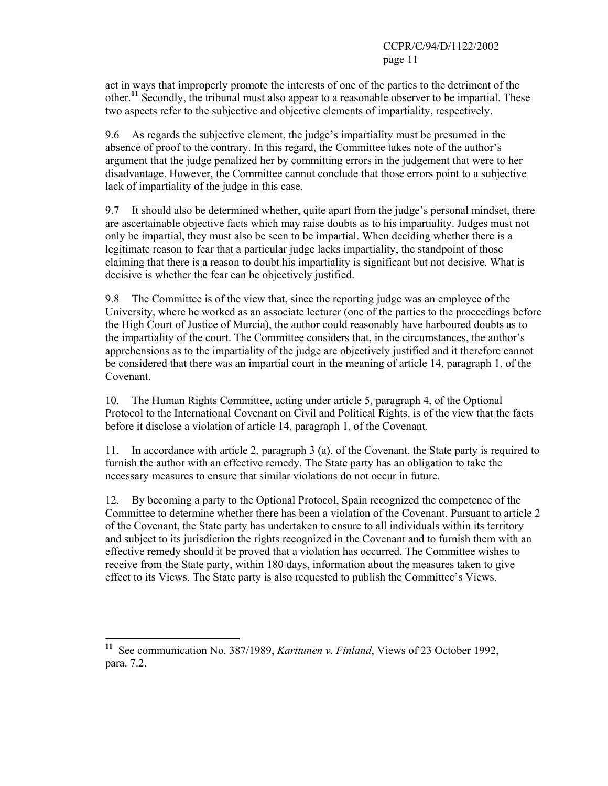act in ways that improperly promote the interests of one of the parties to the detriment of the other.**<sup>11</sup>** Secondly, the tribunal must also appear to a reasonable observer to be impartial. These two aspects refer to the subjective and objective elements of impartiality, respectively.

9.6 As regards the subjective element, the judge's impartiality must be presumed in the absence of proof to the contrary. In this regard, the Committee takes note of the author's argument that the judge penalized her by committing errors in the judgement that were to her disadvantage. However, the Committee cannot conclude that those errors point to a subjective lack of impartiality of the judge in this case.

9.7 It should also be determined whether, quite apart from the judge's personal mindset, there are ascertainable objective facts which may raise doubts as to his impartiality. Judges must not only be impartial, they must also be seen to be impartial. When deciding whether there is a legitimate reason to fear that a particular judge lacks impartiality, the standpoint of those claiming that there is a reason to doubt his impartiality is significant but not decisive. What is decisive is whether the fear can be objectively justified.

9.8 The Committee is of the view that, since the reporting judge was an employee of the University, where he worked as an associate lecturer (one of the parties to the proceedings before the High Court of Justice of Murcia), the author could reasonably have harboured doubts as to the impartiality of the court. The Committee considers that, in the circumstances, the author's apprehensions as to the impartiality of the judge are objectively justified and it therefore cannot be considered that there was an impartial court in the meaning of article 14, paragraph 1, of the Covenant.

10. The Human Rights Committee, acting under article 5, paragraph 4, of the Optional Protocol to the International Covenant on Civil and Political Rights, is of the view that the facts before it disclose a violation of article 14, paragraph 1, of the Covenant.

11. In accordance with article 2, paragraph 3 (a), of the Covenant, the State party is required to furnish the author with an effective remedy. The State party has an obligation to take the necessary measures to ensure that similar violations do not occur in future.

12. By becoming a party to the Optional Protocol, Spain recognized the competence of the Committee to determine whether there has been a violation of the Covenant. Pursuant to article 2 of the Covenant, the State party has undertaken to ensure to all individuals within its territory and subject to its jurisdiction the rights recognized in the Covenant and to furnish them with an effective remedy should it be proved that a violation has occurred. The Committee wishes to receive from the State party, within 180 days, information about the measures taken to give effect to its Views. The State party is also requested to publish the Committee's Views.

 $\overline{a}$ 

**<sup>11</sup>** See communication No. 387/1989, *Karttunen v. Finland*, Views of 23 October 1992, para. 7.2.